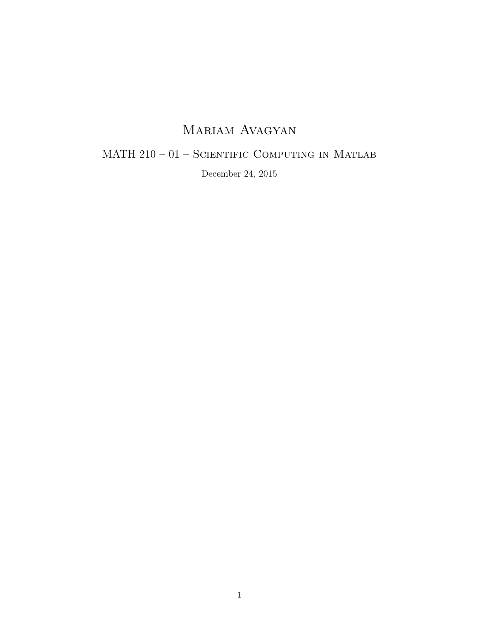### Mariam Avagyan

### MATH 210 – 01 – SCIENTIFIC COMPUTING IN MATLAB

December 24, 2015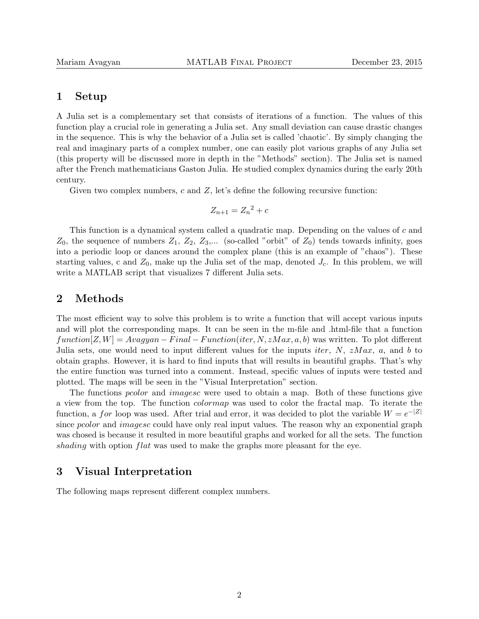#### 1 Setup

A Julia set is a complementary set that consists of iterations of a function. The values of this function play a crucial role in generating a Julia set. Any small deviation can cause drastic changes in the sequence. This is why the behavior of a Julia set is called 'chaotic'. By simply changing the real and imaginary parts of a complex number, one can easily plot various graphs of any Julia set (this property will be discussed more in depth in the "Methods" section). The Julia set is named after the French mathematicians Gaston Julia. He studied complex dynamics during the early 20th century.

Given two complex numbers,  $c$  and  $Z$ , let's define the following recursive function:

$$
Z_{n+1} = Z_n^2 + c
$$

This function is a dynamical system called a quadratic map. Depending on the values of c and  $Z_0$ , the sequence of numbers  $Z_1, Z_2, Z_3,...$  (so-called "orbit" of  $Z_0$ ) tends towards infinity, goes into a periodic loop or dances around the complex plane (this is an example of "chaos"). These starting values, c and  $Z_0$ , make up the Julia set of the map, denoted  $J_c$ . In this problem, we will write a MATLAB script that visualizes 7 different Julia sets.

#### 2 Methods

The most efficient way to solve this problem is to write a function that will accept various inputs and will plot the corresponding maps. It can be seen in the m-file and .html-file that a function  $function[Z, W] = Avagyan - Final - Function(iter, N, zMax, a, b)$  was written. To plot different Julia sets, one would need to input different values for the inputs *iter*,  $N$ ,  $zMax$ ,  $a$ , and  $b$  to obtain graphs. However, it is hard to find inputs that will results in beautiful graphs. That's why the entire function was turned into a comment. Instead, specific values of inputs were tested and plotted. The maps will be seen in the "Visual Interpretation" section.

The functions *pcolor* and *imagesc* were used to obtain a map. Both of these functions give a view from the top. The function colormap was used to color the fractal map. To iterate the function, a for loop was used. After trial and error, it was decided to plot the variable  $W = e^{-|Z|}$ since *pcolor* and *imagesc* could have only real input values. The reason why an exponential graph was chosed is because it resulted in more beautiful graphs and worked for all the sets. The function shading with option flat was used to make the graphs more pleasant for the eye.

#### 3 Visual Interpretation

The following maps represent different complex numbers.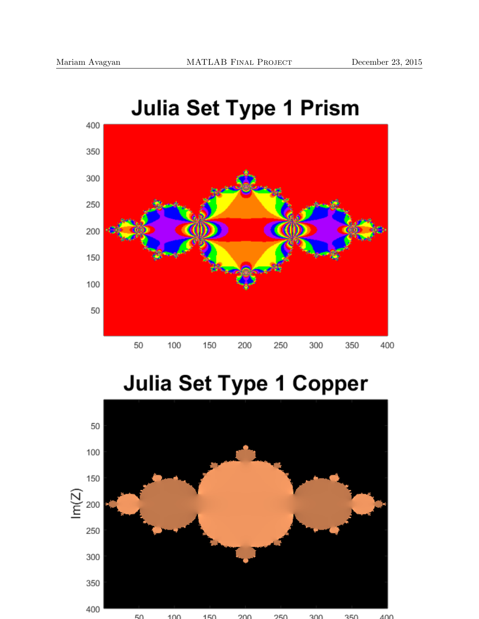

### **Julia Set Type 1 Prism**

## **Julia Set Type 1 Copper**

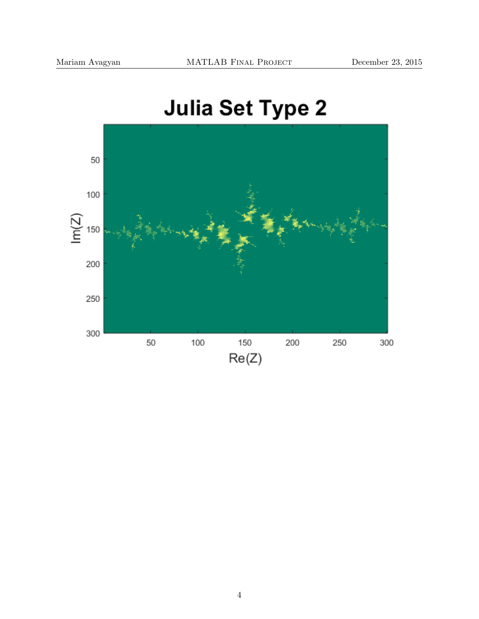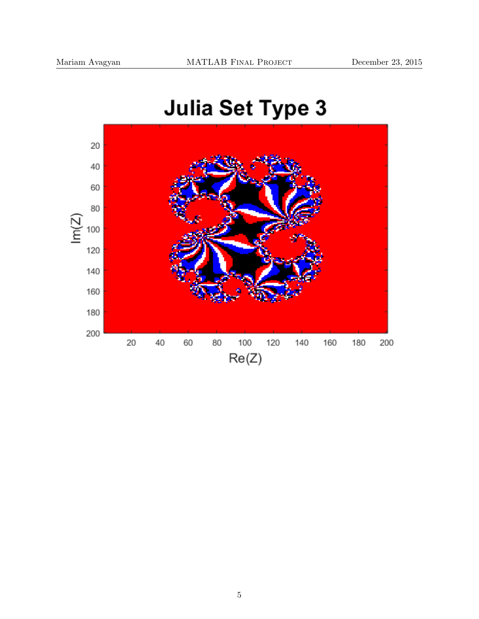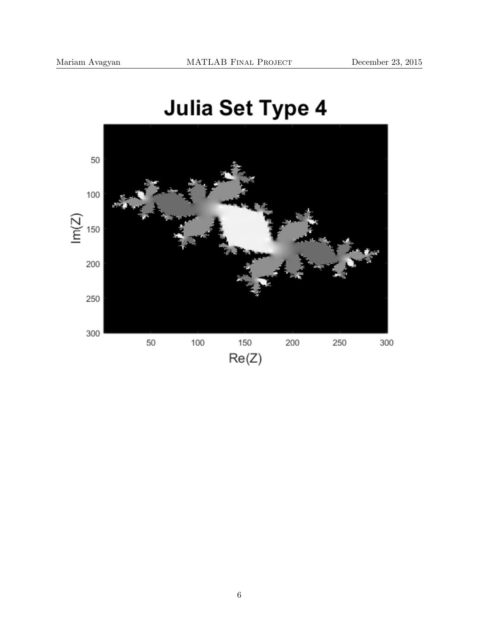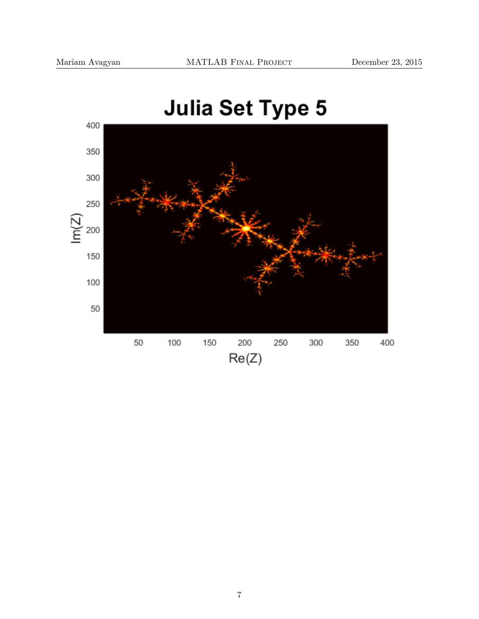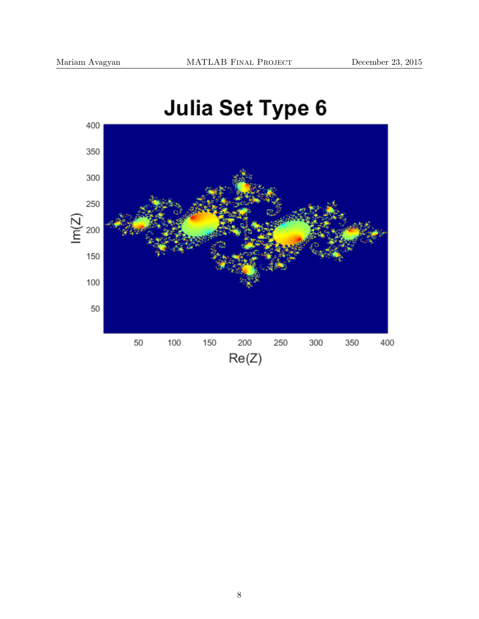